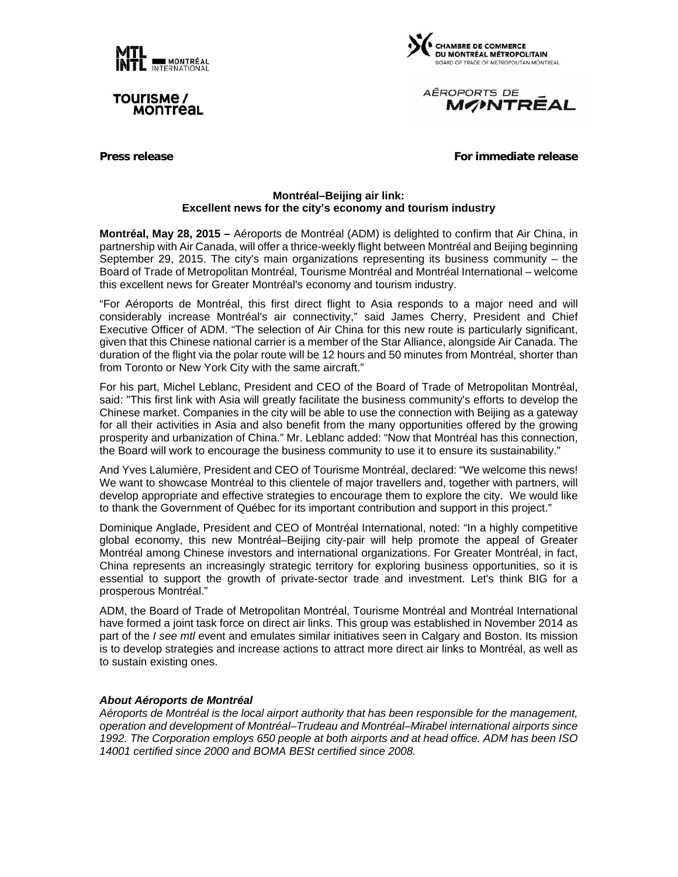

TOUIISME / **MONTreal** 



AÉROPORTS DE **MONTREAL** 

**Press release For immediate release** For immediate release

### **Montréal–Beijing air link: Excellent news for the city's economy and tourism industry**

**Montréal, May 28, 2015 –** Aéroports de Montréal (ADM) is delighted to confirm that Air China, in partnership with Air Canada, will offer a thrice-weekly flight between Montréal and Beijing beginning September 29, 2015. The city's main organizations representing its business community – the Board of Trade of Metropolitan Montréal, Tourisme Montréal and Montréal International – welcome this excellent news for Greater Montréal's economy and tourism industry.

"For Aéroports de Montréal, this first direct flight to Asia responds to a major need and will considerably increase Montréal's air connectivity," said James Cherry, President and Chief Executive Officer of ADM. "The selection of Air China for this new route is particularly significant, given that this Chinese national carrier is a member of the Star Alliance, alongside Air Canada. The duration of the flight via the polar route will be 12 hours and 50 minutes from Montréal, shorter than from Toronto or New York City with the same aircraft."

For his part, Michel Leblanc, President and CEO of the Board of Trade of Metropolitan Montréal, said: "This first link with Asia will greatly facilitate the business community's efforts to develop the Chinese market. Companies in the city will be able to use the connection with Beijing as a gateway for all their activities in Asia and also benefit from the many opportunities offered by the growing prosperity and urbanization of China." Mr. Leblanc added: "Now that Montréal has this connection, the Board will work to encourage the business community to use it to ensure its sustainability."

And Yves Lalumière, President and CEO of Tourisme Montréal, declared: "We welcome this news! We want to showcase Montréal to this clientele of major travellers and, together with partners, will develop appropriate and effective strategies to encourage them to explore the city. We would like to thank the Government of Québec for its important contribution and support in this project."

Dominique Anglade, President and CEO of Montréal International, noted: "In a highly competitive global economy, this new Montréal–Beijing city-pair will help promote the appeal of Greater Montréal among Chinese investors and international organizations. For Greater Montréal, in fact, China represents an increasingly strategic territory for exploring business opportunities, so it is essential to support the growth of private-sector trade and investment. Let's think BIG for a prosperous Montréal."

ADM, the Board of Trade of Metropolitan Montréal, Tourisme Montréal and Montréal International have formed a joint task force on direct air links. This group was established in November 2014 as part of the *I see mtl* event and emulates similar initiatives seen in Calgary and Boston. Its mission is to develop strategies and increase actions to attract more direct air links to Montréal, as well as to sustain existing ones.

### *About Aéroports de Montréal*

*Aéroports de Montréal is the local airport authority that has been responsible for the management, operation and development of Montréal–Trudeau and Montréal–Mirabel international airports since 1992. The Corporation employs 650 people at both airports and at head office. ADM has been ISO 14001 certified since 2000 and BOMA BESt certified since 2008.*